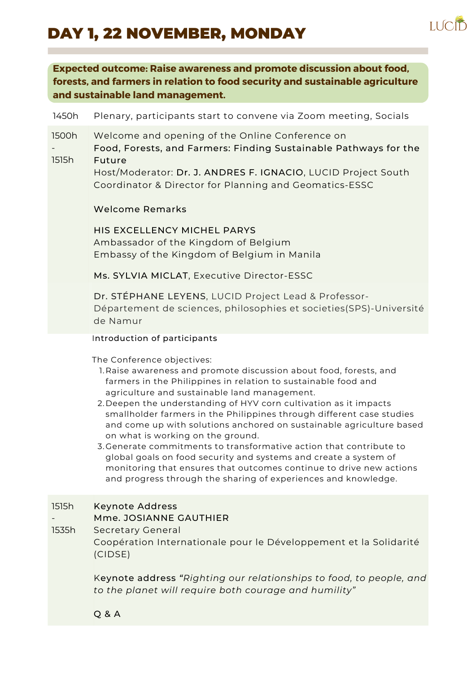# DAY 1, 22 NOVEMBER, MONDAY



### **Expected outcome: Raise awareness and promote discussion about food, forests, and farmers in relation to food security and sustainable agriculture and sustainable land management.**

## 1450h Plenary, participants start to convene via Zoom meeting, Socials 1500h - 1515h Welcome and opening of the Online Conference on Food, Forests, and Farmers: Finding Sustainable Pathways for the Future Host/Moderator: Dr. J. ANDRES F. IGNACIO, LUCID Project South Coordinator & Director for Planning and Geomatics-ESSC Welcome Remarks HIS EXCELLENCY MICHEL PARYS Ambassador of the Kingdom of Belgium Embassy of the Kingdom of Belgium in Manila Ms. SYLVIA MICLAT, Executive Director-ESSC Dr. STÉPHANE LEYENS, LUCID Project Lead & Professor-Département de sciences, philosophies et societies(SPS)-Université de Namur 1. Raise awareness and promote discussion about food, forests, and farmers in the Philippines in relation to sustainable food and agriculture and sustainable land management. Introduction of participants The Conference objectives:

- 2. Deepen the understanding of HYV corn cultivation as it impacts smallholder farmers in the Philippines through different case studies and come up with solutions anchored on sustainable agriculture based on what is working on the ground.
- 3.Generate commitments to transformative action that contribute to global goals on food security and systems and create a system of monitoring that ensures that outcomes continue to drive new actions and progress through the sharing of experiences and knowledge.

#### Keynote Address 1515h

### Mme. JOSIANNE GAUTHIER

#### Secretary General 1535h

-

Coopération Internationale pour le Développement et la Solidarité (CIDSE)

Keynote address *"Righting our relationships to food, to people, and to the planet will require both courage and humility"*

Q & A